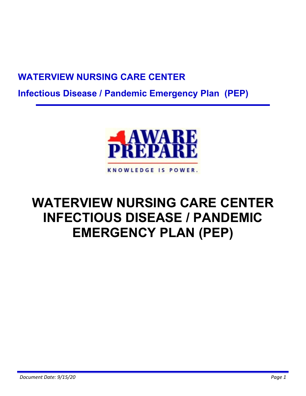## **WATERVIEW NURSING CARE CENTER**

**Infectious Disease / Pandemic Emergency Plan (PEP)**



# **WATERVIEW NURSING CARE CENTER INFECTIOUS DISEASE / PANDEMIC EMERGENCY PLAN (PEP)**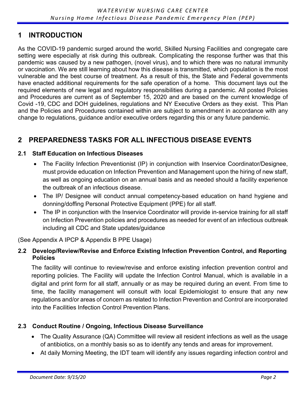### **1 INTRODUCTION**

As the COVID-19 pandemic surged around the world, Skilled Nursing Facilities and congregate care setting were especially at risk during this outbreak. Complicating the response further was that this pandemic was caused by a new pathogen, (novel virus), and to which there was no natural immunity or vaccination. We are still learning about how this disease is transmitted, which population is the most vulnerable and the best course of treatment. As a result of this, the State and Federal governments have enacted additional requirements for the safe operation of a home. This document lays out the required elements of new legal and regulatory responsibilities during a pandemic. All posted Policies and Procedures are current as of September 15, 2020 and are based on the current knowledge of Covid -19, CDC and DOH guidelines, regulations and NY Executive Orders as they exist. This Plan and the Policies and Procedures contained within are subject to amendment in accordance with any change to regulations, guidance and/or executive orders regarding this or any future pandemic.

### **2 PREPAREDNESS TASKS FOR ALL INFECTIOUS DISEASE EVENTS**

#### **2.1 Staff Education on Infectious Diseases**

- The Facility Infection Preventionist (IP) in conjunction with Inservice Coordinator/Designee, must provide education on Infection Prevention and Management upon the hiring of new staff, as well as ongoing education on an annual basis and as needed should a facility experience the outbreak of an infectious disease.
- The IP/ Designee will conduct annual competency-based education on hand hygiene and donning/doffing Personal Protective Equipment (PPE) for all staff.
- The IP in conjunction with the Inservice Coordinator will provide in-service training for all staff on Infection Prevention policies and procedures as needed for event of an infectious outbreak including all CDC and State updates/guidance

(See Appendix A IPCP & Appendix B PPE Usage)

#### **2.2 Develop/Review/Revise and Enforce Existing Infection Prevention Control, and Reporting Policies**

The facility will continue to review/revise and enforce existing infection prevention control and reporting policies. The Facility will update the Infection Control Manual, which is available in a digital and print form for all staff, annually or as may be required during an event. From time to time, the facility management will consult with local Epidemiologist to ensure that any new regulations and/or areas of concern as related to Infection Prevention and Control are incorporated into the Facilities Infection Control Prevention Plans.

#### **2.3 Conduct Routine / Ongoing, Infectious Disease Surveillance**

- The Quality Assurance (QA) Committee will review all resident infections as well as the usage of antibiotics, on a monthly basis so as to identify any tends and areas for improvement.
- At daily Morning Meeting, the IDT team will identify any issues regarding infection control and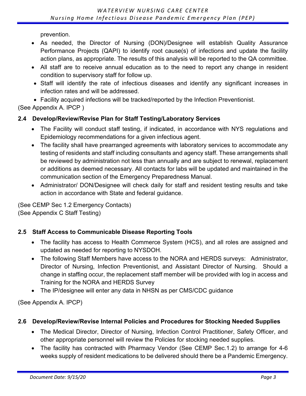prevention.

- As needed, the Director of Nursing (DON)/Designee will establish Quality Assurance Performance Projects (QAPI) to identify root cause(s) of infections and update the facility action plans, as appropriate. The results of this analysis will be reported to the QA committee.
- All staff are to receive annual education as to the need to report any change in resident condition to supervisory staff for follow up.
- Staff will identify the rate of infectious diseases and identify any significant increases in infection rates and will be addressed.
- Facility acquired infections will be tracked/reported by the Infection Preventionist.

(See Appendix A. IPCP )

#### **2.4 Develop/Review/Revise Plan for Staff Testing/Laboratory Services**

- The Facility will conduct staff testing, if indicated, in accordance with NYS regulations and Epidemiology recommendations for a given infectious agent.
- The facility shall have prearranged agreements with laboratory services to accommodate any testing of residents and staff including consultants and agency staff. These arrangements shall be reviewed by administration not less than annually and are subject to renewal, replacement or additions as deemed necessary. All contacts for labs will be updated and maintained in the communication section of the Emergency Preparedness Manual.
- Administrator/ DON/Designee will check daily for staff and resident testing results and take action in accordance with State and federal guidance.

(See CEMP Sec 1.2 Emergency Contacts) (See Appendix C Staff Testing)

#### **2.5 Staff Access to Communicable Disease Reporting Tools**

- The facility has access to Health Commerce System (HCS), and all roles are assigned and updated as needed for reporting to NYSDOH.
- The following Staff Members have access to the NORA and HERDS surveys: Administrator, Director of Nursing, Infection Preventionist, and Assistant Director of Nursing. Should a change in staffing occur, the replacement staff member will be provided with log in access and Training for the NORA and HERDS Survey
- The IP/designee will enter any data in NHSN as per CMS/CDC guidance

(See Appendix A. IPCP)

#### **2.6 Develop/Review/Revise Internal Policies and Procedures for Stocking Needed Supplies**

- The Medical Director, Director of Nursing, Infection Control Practitioner, Safety Officer, and other appropriate personnel will review the Policies for stocking needed supplies.
- The facility has contracted with Pharmacy Vendor (See CEMP Sec.1.2) to arrange for 4-6 weeks supply of resident medications to be delivered should there be a Pandemic Emergency.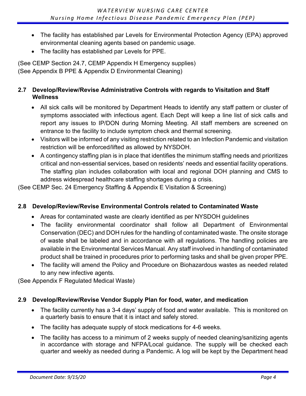- The facility has established par Levels for Environmental Protection Agency (EPA) approved environmental cleaning agents based on pandemic usage.
- The facility has established par Levels for PPE.

(See CEMP Section 24.7, CEMP Appendix H Emergency supplies) (See Appendix B PPE & Appendix D Environmental Cleaning)

#### **2.7 Develop/Review/Revise Administrative Controls with regards to Visitation and Staff Wellness**

- All sick calls will be monitored by Department Heads to identify any staff pattern or cluster of symptoms associated with infectious agent. Each Dept will keep a line list of sick calls and report any issues to IP/DON during Morning Meeting. All staff members are screened on entrance to the facility to include symptom check and thermal screening.
- Visitors will be informed of any visiting restriction related to an Infection Pandemic and visitation restriction will be enforced/lifted as allowed by NYSDOH.
- A contingency staffing plan is in place that identifies the minimum staffing needs and prioritizes critical and non-essential services, based on residents' needs and essential facility operations. The staffing plan includes collaboration with local and regional DOH planning and CMS to address widespread healthcare staffing shortages during a crisis.

(See CEMP Sec. 24 Emergency Staffing & Appendix E Visitation & Screening)

#### **2.8 Develop/Review/Revise Environmental Controls related to Contaminated Waste**

- Areas for contaminated waste are clearly identified as per NYSDOH guidelines
- The facility environmental coordinator shall follow all Department of Environmental Conservation (DEC) and DOH rules for the handling of contaminated waste. The onsite storage of waste shall be labeled and in accordance with all regulations. The handling policies are available in the Environmental Services Manual. Any staff involved in handling of contaminated product shall be trained in procedures prior to performing tasks and shall be given proper PPE.
- The facility will amend the Policy and Procedure on Biohazardous wastes as needed related to any new infective agents.

(See Appendix F Regulated Medical Waste)

#### **2.9 Develop/Review/Revise Vendor Supply Plan for food, water, and medication**

- The facility currently has a 3-4 days' supply of food and water available. This is monitored on a quarterly basis to ensure that it is intact and safely stored.
- The facility has adequate supply of stock medications for 4-6 weeks.
- The facility has access to a minimum of 2 weeks supply of needed cleaning/sanitizing agents in accordance with storage and NFPA/Local guidance. The supply will be checked each quarter and weekly as needed during a Pandemic. A log will be kept by the Department head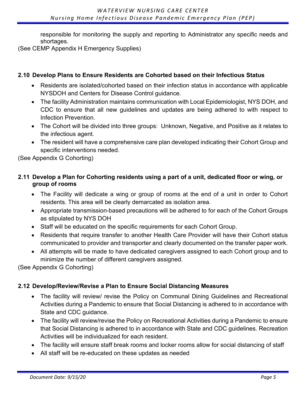responsible for monitoring the supply and reporting to Administrator any specific needs and shortages.

(See CEMP Appendix H Emergency Supplies)

#### **2.10 Develop Plans to Ensure Residents are Cohorted based on their Infectious Status**

- Residents are isolated/cohorted based on their infection status in accordance with applicable NYSDOH and Centers for Disease Control guidance.
- The facility Administration maintains communication with Local Epidemiologist, NYS DOH, and CDC to ensure that all new guidelines and updates are being adhered to with respect to Infection Prevention.
- The Cohort will be divided into three groups: Unknown, Negative, and Positive as it relates to the infectious agent.
- The resident will have a comprehensive care plan developed indicating their Cohort Group and specific interventions needed.

(See Appendix G Cohorting)

#### **2.11 Develop a Plan for Cohorting residents using a part of a unit, dedicated floor or wing, or group of rooms**

- The Facility will dedicate a wing or group of rooms at the end of a unit in order to Cohort residents. This area will be clearly demarcated as isolation area.
- Appropriate transmission-based precautions will be adhered to for each of the Cohort Groups as stipulated by NYS DOH
- Staff will be educated on the specific requirements for each Cohort Group.
- Residents that require transfer to another Health Care Provider will have their Cohort status communicated to provider and transporter and clearly documented on the transfer paper work.
- All attempts will be made to have dedicated caregivers assigned to each Cohort group and to minimize the number of different caregivers assigned.

(See Appendix G Cohorting)

#### **2.12 Develop/Review/Revise a Plan to Ensure Social Distancing Measures**

- The facility will review/ revise the Policy on Communal Dining Guidelines and Recreational Activities during a Pandemic to ensure that Social Distancing is adhered to in accordance with State and CDC guidance.
- The facility will review/revise the Policy on Recreational Activities during a Pandemic to ensure that Social Distancing is adhered to in accordance with State and CDC guidelines. Recreation Activities will be individualized for each resident.
- The facility will ensure staff break rooms and locker rooms allow for social distancing of staff
- All staff will be re-educated on these updates as needed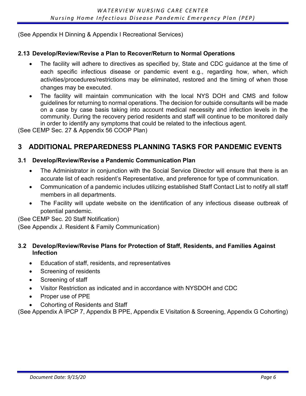(See Appendix H Dinning & Appendix I Recreational Services)

#### **2.13 Develop/Review/Revise a Plan to Recover/Return to Normal Operations**

- The facility will adhere to directives as specified by, State and CDC guidance at the time of each specific infectious disease or pandemic event e.g., regarding how, when, which activities/procedures/restrictions may be eliminated, restored and the timing of when those changes may be executed.
- The facility will maintain communication with the local NYS DOH and CMS and follow guidelines for returning to normal operations. The decision for outside consultants will be made on a case by case basis taking into account medical necessity and infection levels in the community. During the recovery period residents and staff will continue to be monitored daily in order to identify any symptoms that could be related to the infectious agent.

(See CEMP Sec. 27 & Appendix 56 COOP Plan)

### **3 ADDITIONAL PREPAREDNESS PLANNING TASKS FOR PANDEMIC EVENTS**

#### **3.1 Develop/Review/Revise a Pandemic Communication Plan**

- The Administrator in conjunction with the Social Service Director will ensure that there is an accurate list of each resident's Representative, and preference for type of communication.
- Communication of a pandemic includes utilizing established Staff Contact List to notify all staff members in all departments.
- The Facility will update website on the identification of any infectious disease outbreak of potential pandemic.

(See CEMP Sec. 20 Staff Notification) (See Appendix J. Resident & Family Communication)

#### **3.2 Develop/Review/Revise Plans for Protection of Staff, Residents, and Families Against Infection**

- Education of staff, residents, and representatives
- Screening of residents
- Screening of staff
- Visitor Restriction as indicated and in accordance with NYSDOH and CDC
- Proper use of PPE
- Cohorting of Residents and Staff

(See Appendix A IPCP 7, Appendix B PPE, Appendix E Visitation & Screening, Appendix G Cohorting)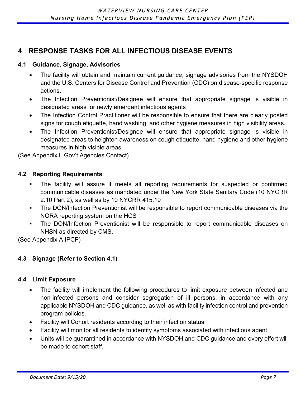### **4 RESPONSE TASKS FOR ALL INFECTIOUS DISEASE EVENTS**

#### **4.1 Guidance, Signage, Advisories**

- The facility will obtain and maintain current guidance, signage advisories from the NYSDOH and the U.S. Centers for Disease Control and Prevention (CDC) on disease-specific response actions.
- The Infection Preventionist/Designee will ensure that appropriate signage is visible in designated areas for newly emergent infectious agents
- The Infection Control Practitioner will be responsible to ensure that there are clearly posted signs for cough etiquette, hand washing, and other hygiene measures in high visibility areas.
- The Infection Preventionist/Designee will ensure that appropriate signage is visible in designated areas to heighten awareness on cough etiquette, hand hygiene and other hygiene measures in high visible areas.

(See Appendix L Gov't Agencies Contact)

#### **4.2 Reporting Requirements**

- The facility will assure it meets all reporting requirements for suspected or confirmed communicable diseases as mandated under the New York State Sanitary Code (10 NYCRR 2.10 Part 2), as well as by 10 NYCRR 415.19
- The DON/Infection Preventionist will be responsible to report communicable diseases via the NORA reporting system on the HCS
- The DON/Infection Preventionist will be responsible to report communicable diseases on NHSN as directed by CMS.

(See Appendix A IPCP)

#### **4.3 Signage (Refer to Section 4.1)**

#### **4.4 Limit Exposure**

- The facility will implement the following procedures to limit exposure between infected and non-infected persons and consider segregation of ill persons, in accordance with any applicable NYSDOH and CDC guidance, as well as with facility infection control and prevention program policies.
- Facility will Cohort residents according to their infection status
- Facility will monitor all residents to identify symptoms associated with infectious agent.
- Units will be quarantined in accordance with NYSDOH and CDC guidance and every effort will be made to cohort staff.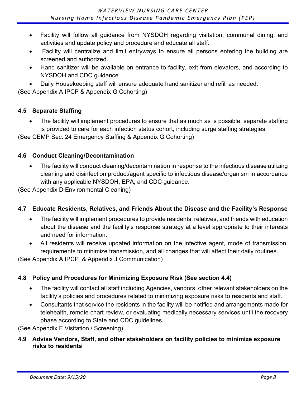- Facility will follow all guidance from NYSDOH regarding visitation, communal dining, and activities and update policy and procedure and educate all staff.
- Facility will centralize and limit entryways to ensure all persons entering the building are screened and authorized.
- Hand sanitizer will be available on entrance to facility, exit from elevators, and according to NYSDOH and CDC guidance
- Daily Housekeeping staff will ensure adequate hand sanitizer and refill as needed.

(See Appendix A IPCP & Appendix G Cohorting)

#### **4.5 Separate Staffing**

The facility will implement procedures to ensure that as much as is possible, separate staffing is provided to care for each infection status cohort, including surge staffing strategies.

(See CEMP Sec. 24 Emergency Staffing & Appendix G Cohorting)

#### **4.6 Conduct Cleaning/Decontamination**

• The facility will conduct cleaning/decontamination in response to the infectious disease utilizing cleaning and disinfection product/agent specific to infectious disease/organism in accordance with any applicable NYSDOH, EPA, and CDC guidance.

(See Appendix D Environmental Cleaning)

#### **4.7 Educate Residents, Relatives, and Friends About the Disease and the Facility's Response**

- The facility will implement procedures to provide residents, relatives, and friends with education about the disease and the facility's response strategy at a level appropriate to their interests and need for information.
- All residents will receive updated information on the infective agent, mode of transmission, requirements to minimize transmission, and all changes that will affect their daily routines.

(See Appendix A IPCP & Appendix J Communication)

#### **4.8 Policy and Procedures for Minimizing Exposure Risk (See section 4.4)**

- The facility will contact all staff including Agencies, vendors, other relevant stakeholders on the facility's policies and procedures related to minimizing exposure risks to residents and staff.
- Consultants that service the residents in the facility will be notified and arrangements made for telehealth, remote chart review, or evaluating medically necessary services until the recovery phase according to State and CDC guidelines.

(See Appendix E Visitation / Screening)

#### **4.9 Advise Vendors, Staff, and other stakeholders on facility policies to minimize exposure risks to residents**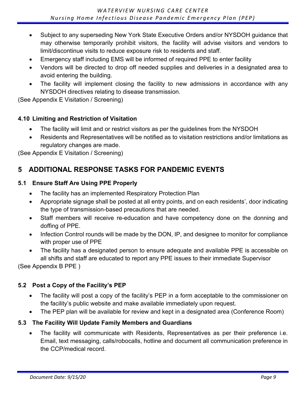- Subject to any superseding New York State Executive Orders and/or NYSDOH guidance that may otherwise temporarily prohibit visitors, the facility will advise visitors and vendors to limit/discontinue visits to reduce exposure risk to residents and staff.
- Emergency staff including EMS will be informed of required PPE to enter facility
- Vendors will be directed to drop off needed supplies and deliveries in a designated area to avoid entering the building.
- The facility will implement closing the facility to new admissions in accordance with any NYSDOH directives relating to disease transmission.

(See Appendix E Visitation / Screening)

#### **4.10 Limiting and Restriction of Visitation**

- The facility will limit and or restrict visitors as per the guidelines from the NYSDOH
- Residents and Representatives will be notified as to visitation restrictions and/or limitations as regulatory changes are made.

(See Appendix E Visitation / Screening)

### **5 ADDITIONAL RESPONSE TASKS FOR PANDEMIC EVENTS**

#### **5.1 Ensure Staff Are Using PPE Properly**

- The facility has an implemented Respiratory Protection Plan
- Appropriate signage shall be posted at all entry points, and on each residents', door indicating the type of transmission-based precautions that are needed.
- Staff members will receive re-education and have competency done on the donning and doffing of PPE.
- Infection Control rounds will be made by the DON, IP, and designee to monitor for compliance with proper use of PPE
- The facility has a designated person to ensure adequate and available PPE is accessible on all shifts and staff are educated to report any PPE issues to their immediate Supervisor

(See Appendix B PPE )

#### **5.2 Post a Copy of the Facility's PEP**

- The facility will post a copy of the facility's PEP in a form acceptable to the commissioner on the facility's public website and make available immediately upon request.
- The PEP plan will be available for review and kept in a designated area (Conference Room)

#### **5.3 The Facility Will Update Family Members and Guardians**

The facility will communicate with Residents, Representatives as per their preference i.e. Email, text messaging, calls/robocalls, hotline and document all communication preference in the CCP/medical record.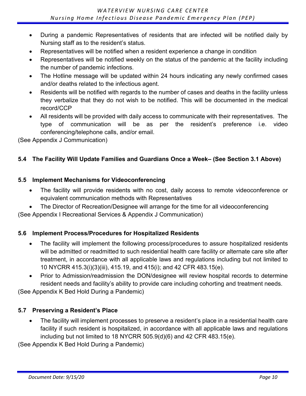- During a pandemic Representatives of residents that are infected will be notified daily by Nursing staff as to the resident's status.
- Representatives will be notified when a resident experience a change in condition
- Representatives will be notified weekly on the status of the pandemic at the facility including the number of pandemic infections.
- The Hotline message will be updated within 24 hours indicating any newly confirmed cases and/or deaths related to the infectious agent.
- Residents will be notified with regards to the number of cases and deaths in the facility unless they verbalize that they do not wish to be notified. This will be documented in the medical record/CCP
- All residents will be provided with daily access to communicate with their representatives. The type of communication will be as per the resident's preference i.e. video conferencing/telephone calls, and/or email.

(See Appendix J Communication)

#### **5.4 The Facility Will Update Families and Guardians Once a Week– (See Section 3.1 Above)**

#### **5.5 Implement Mechanisms for Videoconferencing**

- The facility will provide residents with no cost, daily access to remote videoconference or equivalent communication methods with Representatives
- The Director of Recreation/Designee will arrange for the time for all videoconferencing

(See Appendix I Recreational Services & Appendix J Communication)

#### **5.6 Implement Process/Procedures for Hospitalized Residents**

- The facility will implement the following process/procedures to assure hospitalized residents will be admitted or readmitted to such residential health care facility or alternate care site after treatment, in accordance with all applicable laws and regulations including but not limited to 10 NYCRR 415.3(i)(3)(iii), 415.19, and 415(i); and 42 CFR 483.15(e).
- Prior to Admission/readmission the DON/designee will review hospital records to determine resident needs and facility's ability to provide care including cohorting and treatment needs.

(See Appendix K Bed Hold During a Pandemic)

#### **5.7 Preserving a Resident's Place**

• The facility will implement processes to preserve a resident's place in a residential health care facility if such resident is hospitalized, in accordance with all applicable laws and regulations including but not limited to 18 NYCRR 505.9(d)(6) and 42 CFR 483.15(e).

(See Appendix K Bed Hold During a Pandemic)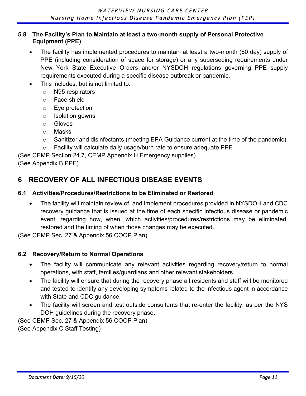#### **5.8 The Facility's Plan to Maintain at least a two-month supply of Personal Protective Equipment (PPE)**

- The facility has implemented procedures to maintain at least a two-month (60 day) supply of PPE (including consideration of space for storage) or any superseding requirements under New York State Executive Orders and/or NYSDOH regulations governing PPE supply requirements executed during a specific disease outbreak or pandemic.
- This includes, but is not limited to:
	- o N95 respirators
	- o Face shield
	- o Eye protection
	- o Isolation gowns
	- o Gloves
	- o Masks
	- o Sanitizer and disinfectants (meeting EPA Guidance current at the time of the pandemic)
	- $\circ$  Facility will calculate daily usage/burn rate to ensure adequate PPE

(See CEMP Section 24.7, CEMP Appendix H Emergency supplies) (See Appendix B PPE)

### **6 RECOVERY OF ALL INFECTIOUS DISEASE EVENTS**

#### **6.1 Activities/Procedures/Restrictions to be Eliminated or Restored**

• The facility will maintain review of, and implement procedures provided in NYSDOH and CDC recovery guidance that is issued at the time of each specific infectious disease or pandemic event, regarding how, when, which activities/procedures/restrictions may be eliminated, restored and the timing of when those changes may be executed.

(See CEMP Sec. 27 & Appendix 56 COOP Plan)

#### **6.2 Recovery/Return to Normal Operations**

- The facility will communicate any relevant activities regarding recovery/return to normal operations, with staff, families/guardians and other relevant stakeholders.
- The facility will ensure that during the recovery phase all residents and staff will be monitored and tested to identify any developing symptoms related to the infectious agent in accordance with State and CDC guidance.
- The facility will screen and test outside consultants that re-enter the facility, as per the NYS DOH guidelines during the recovery phase.

(See CEMP Sec. 27 & Appendix 56 COOP Plan) (See Appendix C Staff Testing)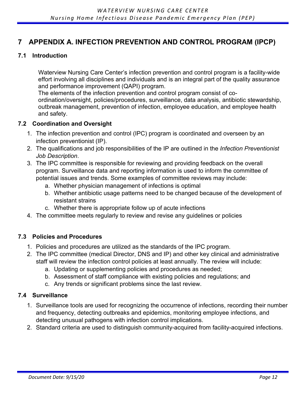### **7 APPENDIX A. INFECTION PREVENTION AND CONTROL PROGRAM (IPCP)**

#### **7.1 Introduction**

Waterview Nursing Care Center's infection prevention and control program is a facility-wide effort involving all disciplines and individuals and is an integral part of the quality assurance and performance improvement (QAPI) program.

The elements of the infection prevention and control program consist of coordination/oversight, policies/procedures, surveillance, data analysis, antibiotic stewardship, outbreak management, prevention of infection, employee education, and employee health and safety.

#### **7.2 Coordination and Oversight**

- 1. The infection prevention and control (IPC) program is coordinated and overseen by an infection preventionist (IP).
- 2. The qualifications and job responsibilities of the IP are outlined in the *Infection Preventionist Job Description*.
- 3. The IPC committee is responsible for reviewing and providing feedback on the overall program. Surveillance data and reporting information is used to inform the committee of potential issues and trends. Some examples of committee reviews may include:
	- a. Whether physician management of infections is optimal
	- b. Whether antibiotic usage patterns need to be changed because of the development of resistant strains
	- c. Whether there is appropriate follow up of acute infections
- 4. The committee meets regularly to review and revise any guidelines or policies

#### **7.3 Policies and Procedures**

- 1. Policies and procedures are utilized as the standards of the IPC program.
- 2. The IPC committee (medical Director, DNS and IP) and other key clinical and administrative staff will review the infection control policies at least annually. The review will include:
	- a. Updating or supplementing policies and procedures as needed;
	- b. Assessment of staff compliance with existing policies and regulations; and
	- c. Any trends or significant problems since the last review.

#### **7.4 Surveillance**

- 1. Surveillance tools are used for recognizing the occurrence of infections, recording their number and frequency, detecting outbreaks and epidemics, monitoring employee infections, and detecting unusual pathogens with infection control implications.
- 2. Standard criteria are used to distinguish community-acquired from facility-acquired infections.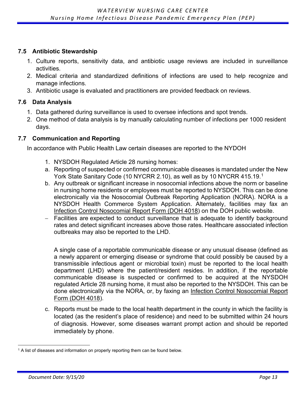#### **7.5 Antibiotic Stewardship**

- 1. Culture reports, sensitivity data, and antibiotic usage reviews are included in surveillance activities.
- 2. Medical criteria and standardized definitions of infections are used to help recognize and manage infections.
- 3. Antibiotic usage is evaluated and practitioners are provided feedback on reviews.

#### **7.6 Data Analysis**

- 1. Data gathered during surveillance is used to oversee infections and spot trends.
- 2. One method of data analysis is by manually calculating number of infections per 1000 resident days.

#### **7.7 Communication and Reporting**

In accordance with Public Health Law certain diseases are reported to the NYDOH

- 1. NYSDOH Regulated Article 28 nursing homes:
- a. Reporting of suspected or confirmed communicable diseases is mandated under the New York State Sanitary Code (10 NYCRR 2.10), as well as by 10 NYCRR 415.19.[1](#page-12-0)
- b. Any outbreak or significant increase in nosocomial infections above the norm or baseline in nursing home residents or employees must be reported to NYSDOH. This can be done electronically via the Nosocomial Outbreak Reporting Application (NORA). NORA is a NYSDOH Health Commerce System Application. Alternately, facilities may fax an [Infection Control Nosocomial Report Form \(DOH 4018\)](https://www.health.ny.gov/forms/doh-4018.pdf) on the DOH public website.
- − Facilities are expected to conduct surveillance that is adequate to identify background rates and detect significant increases above those rates. Healthcare associated infection outbreaks may also be reported to the LHD.

A single case of a [reportable communicable disease o](https://www.health.ny.gov/forms/instructions/doh-389_instructions.pdf)r any unusual disease (defined as a newly apparent or emerging disease or syndrome that could possibly be caused by a transmissible infectious agent or microbial toxin) must be reported to the local health department (LHD) where the patient/resident resides. In addition, if the reportable communicable disease is suspected or confirmed to be acquired at the NYSDOH regulated Article 28 nursing home, it must also be reported to the NYSDOH. This can be done electronically via the NORA, or, by faxing an Infection Control Nosocomial Report [Form \(DOH 4018\)](https://www.health.ny.gov/forms/doh-4018.pdf).

c. Reports must be made to the local health department in the county in which the facility is located (as the resident's place of residence) and need to be submitted within 24 hours of diagnosis. However, some diseases warrant prompt action and should be reported immediately by phone.

<span id="page-12-0"></span><sup>&</sup>lt;sup>1</sup> A list of diseases and information on properly reporting them can be found below.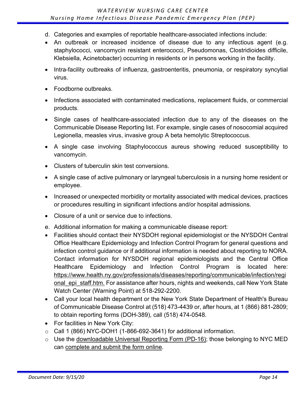- d. Categories and examples of reportable healthcare-associated infections include:
- An outbreak or increased incidence of disease due to any infectious agent (e.g. staphylococci, vancomycin resistant enterococci, Pseudomonas, Clostridioides difficile, Klebsiella, Acinetobacter) occurring in residents or in persons working in the facility.
- Intra-facility outbreaks of influenza, gastroenteritis, pneumonia, or respiratory syncytial virus.
- Foodborne outbreaks.
- Infections associated with contaminated medications, replacement fluids, or commercial products.
- Single cases of healthcare-associated infection due to any of the diseases on the Communicable Disease Reporting list. For example, single cases of nosocomial acquired Legionella, measles virus, invasive group A beta hemolytic Streptococcus.
- A single case involving Staphylococcus aureus showing reduced susceptibility to vancomycin.
- Clusters of tuberculin skin test conversions.
- A single case of active pulmonary or laryngeal tuberculosis in a nursing home resident or employee.
- Increased or unexpected morbidity or mortality associated with medical devices, practices or procedures resulting in significant infections and/or hospital admissions.
- Closure of a unit or service due to infections.
- e. Additional information for making a communicable disease report:
- Facilities should contact their NYSDOH regional epidemiologist or the NYSDOH Central Office Healthcare Epidemiology and Infection Control Program for general questions and infection control guidance or if additional information is needed about reporting to NORA. Contact information for NYSDOH regional epidemiologists and the Central Office Healthcare Epidemiology and Infection Control Program is located here: [https://www.health.ny.gov/professionals/diseases/reporting/communicable/infection/regi](https://www.health.ny.gov/professionals/diseases/reporting/communicable/infection/regional_epi_staff.htm) onal epi\_staff.htm. For assistance after hours, nights and weekends, call New York State Watch Center (Warning Point) at 518-292-2200.
- Call your local health department or the New York State Department of Health's Bureau of Communicable Disease Control at (518) 473-4439 or, after hours, at 1 (866) 881-2809; to obtain reporting forms (DOH-389), call (518) 474-0548.
- For facilities in New York City:
- $\circ$  Call 1 (866) NYC-DOH1 (1-866-692-3641) for additional information.
- o Use the [downloadable Universal Reporting Form \(PD-16\);](https://www1.nyc.gov/assets/doh/downloads/pdf/hcp/urf-0803.pdf) those belonging to NYC MED can [complete and submit the form online.](http://www.nyc.gov/health/nycmed)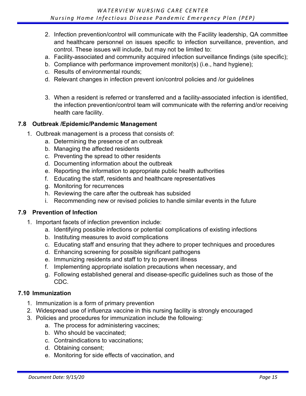- 2. Infection prevention/control will communicate with the Facility leadership, QA committee and healthcare personnel on issues specific to infection surveillance, prevention, and control. These issues will include, but may not be limited to:
- a. Facility-associated and community acquired infection surveillance findings (site specific);
- b. Compliance with performance improvement monitor(s) (i.e., hand hygiene);
- c. Results of environmental rounds;
- d. Relevant changes in infection prevent ion/control policies and /or guidelines
- 3. When a resident is referred or transferred and a facility-associated infection is identified, the infection prevention/control team will communicate with the referring and/or receiving health care facility.

#### **7.8 Outbreak /Epidemic/Pandemic Management**

- 1. Outbreak management is a process that consists of:
	- a. Determining the presence of an outbreak
	- b. Managing the affected residents
	- c. Preventing the spread to other residents
	- d. Documenting information about the outbreak
	- e. Reporting the information to appropriate public health authorities
	- f. Educating the staff, residents and healthcare representatives
	- g. Monitoring for recurrences
	- h. Reviewing the care after the outbreak has subsided
	- i. Recommending new or revised policies to handle similar events in the future

#### **7.9 Prevention of Infection**

- 1. Important facets of infection prevention include:
	- a. Identifying possible infections or potential complications of existing infections
	- b. Instituting measures to avoid complications
	- c. Educating staff and ensuring that they adhere to proper techniques and procedures
	- d. Enhancing screening for possible significant pathogens
	- e. Immunizing residents and staff to try to prevent illness
	- f. Implementing appropriate isolation precautions when necessary, and
	- g. Following established general and disease-specific guidelines such as those of the CDC.

#### **7.10 Immunization**

- 1. Immunization is a form of primary prevention
- 2. Widespread use of influenza vaccine in this nursing facility is strongly encouraged
- 3. Policies and procedures for immunization include the following:
	- a. The process for administering vaccines;
	- b. Who should be vaccinated;
	- c. Contraindications to vaccinations;
	- d. Obtaining consent;
	- e. Monitoring for side effects of vaccination, and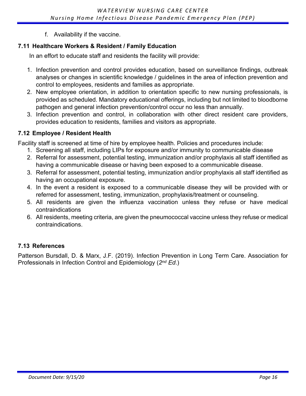f. Availability if the vaccine.

#### **7.11 Healthcare Workers & Resident / Family Education**

In an effort to educate staff and residents the facility will provide:

- 1. Infection prevention and control provides education, based on surveillance findings, outbreak analyses or changes in scientific knowledge / guidelines in the area of infection prevention and control to employees, residents and families as appropriate.
- 2. New employee orientation, in addition to orientation specific to new nursing professionals, is provided as scheduled. Mandatory educational offerings, including but not limited to bloodborne pathogen and general infection prevention/control occur no less than annually.
- 3. Infection prevention and control, in collaboration with other direct resident care providers, provides education to residents, families and visitors as appropriate.

#### **7.12 Employee / Resident Health**

Facility staff is screened at time of hire by employee health. Policies and procedures include:

- 1. Screening all staff, including LIPs for exposure and/or immunity to communicable disease
- 2. Referral for assessment, potential testing, immunization and/or prophylaxis all staff identified as having a communicable disease or having been exposed to a communicable disease.
- 3. Referral for assessment, potential testing, immunization and/or prophylaxis all staff identified as having an occupational exposure.
- 4. In the event a resident is exposed to a communicable disease they will be provided with or referred for assessment, testing, immunization, prophylaxis/treatment or counseling.
- 5. All residents are given the influenza vaccination unless they refuse or have medical contraindications
- 6. All residents, meeting criteria, are given the pneumococcal vaccine unless they refuse or medical contraindications.

#### **7.13 References**

Patterson Bursdall, D. & Marx, J.F. (2019). Infection Prevention in Long Term Care. Association for Professionals in Infection Control and Epidemiology (*2nd Ed*.)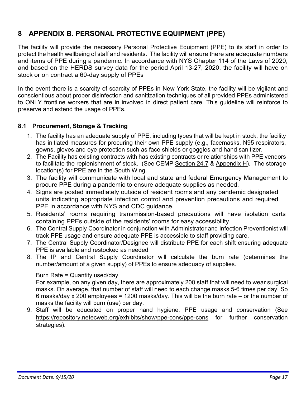### **8 APPENDIX B. PERSONAL PROTECTIVE EQUIPMENT (PPE)**

The facility will provide the necessary Personal Protective Equipment (PPE) to its staff in order to protect the health wellbeing of staff and residents. The facility will ensure there are adequate numbers and items of PPE during a pandemic. In accordance with NYS Chapter 114 of the Laws of 2020, and based on the HERDS survey data for the period April 13-27, 2020, the facility will have on stock or on contract a 60-day supply of PPEs

In the event there is a scarcity of scarcity of PPEs in New York State, the facility will be vigilant and conscientious about proper disinfection and sanitization techniques of all provided PPEs administered to ONLY frontline workers that are in involved in direct patient care. This guideline will reinforce to preserve and extend the usage of PPEs.

#### **8.1 Procurement, Storage & Tracking**

- 1. The facility has an adequate supply of PPE, including types that will be kept in stock, the facility has initiated measures for procuring their own PPE supply (e.g., facemasks, N95 respirators, gowns, gloves and eye protection such as face shields or goggles and hand sanitizer.
- 2. The Facility has existing contracts with has existing contracts or relationships with PPE vendors to facilitate the replenishment of stock. (See CEMP Section 24.7 & Appendix H). The storage location(s) for PPE are in the South Wing.
- 3. The facility will communicate with local and state and federal Emergency Management to procure PPE during a pandemic to ensure adequate supplies as needed.
- 4. Signs are posted immediately outside of resident rooms and any pandemic designated units indicating appropriate infection control and prevention precautions and required PPE in accordance with NYS and CDC guidance.
- 5. Residents' rooms requiring transmission-based precautions will have isolation carts containing PPEs outside of the residents' rooms for easy accessibility.
- 6. The Central Supply Coordinator in conjunction with Administrator and Infection Preventionist will track PPE usage and ensure adequate PPE is accessible to staff providing care.
- 7. The Central Supply Coordinator/Designee will distribute PPE for each shift ensuring adequate PPE is available and restocked as needed
- 8. The IP and Central Supply Coordinator will calculate the burn rate (determines the number/amount of a given supply) of PPEs to ensure adequacy of supplies.

#### Burn Rate = Quantity used/day

For example, on any given day, there are approximately 200 staff that will need to wear surgical masks. On average, that number of staff will need to each change masks 5-6 times per day. So 6 masks/day x 200 employees = 1200 masks/day. This will be the burn rate – or the number of masks the facility will burn (use) per day.

9. Staff will be educated on proper hand hygiene, PPE usage and conservation (See <https://repository.netecweb.org/exhibits/show/ppe-cons/ppe-cons> for further conservation strategies).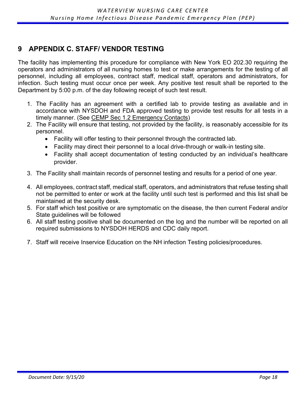### **9 APPENDIX C. STAFF/ VENDOR TESTING**

The facility has implementing this procedure for compliance with New York EO 202.30 requiring the operators and administrators of all nursing homes to test or make arrangements for the testing of all personnel, including all employees, contract staff, medical staff, operators and administrators, for infection. Such testing must occur once per week. Any positive test result shall be reported to the Department by 5:00 p.m. of the day following receipt of such test result.

- 1. The Facility has an agreement with a certified lab to provide testing as available and in accordance with NYSDOH and FDA approved testing to provide test results for all tests in a timely manner. (See CEMP Sec 1.2 Emergency Contacts)
- 2. The Facility will ensure that testing, not provided by the facility, is reasonably accessible for its personnel.
	- Facility will offer testing to their personnel through the contracted lab.
	- Facility may direct their personnel to a local drive-through or walk-in testing site.
	- Facility shall accept documentation of testing conducted by an individual's healthcare provider.
- 3. The Facility shall maintain records of personnel testing and results for a period of one year.
- 4. All employees, contract staff, medical staff, operators, and administrators that refuse testing shall not be permitted to enter or work at the facility until such test is performed and this list shall be maintained at the security desk.
- 5. For staff which test positive or are symptomatic on the disease, the then current Federal and/or State guidelines will be followed
- 6. All staff testing positive shall be documented on the log and the number will be reported on all required submissions to NYSDOH HERDS and CDC daily report.
- 7. Staff will receive Inservice Education on the NH infection Testing policies/procedures.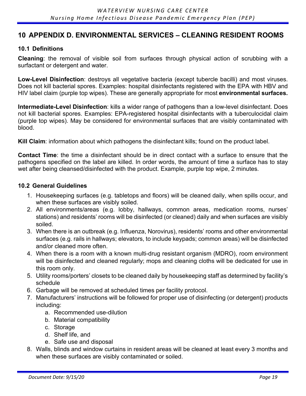#### **10 APPENDIX D. ENVIRONMENTAL SERVICES – CLEANING RESIDENT ROOMS**

#### **10.1 Definitions**

**Cleaning**: the removal of visible soil from surfaces through physical action of scrubbing with a surfactant or detergent and water.

**Low-Level Disinfection**: destroys all vegetative bacteria (except tubercle bacilli) and most viruses. Does not kill bacterial spores. Examples: hospital disinfectants registered with the EPA with HBV and HIV label claim (purple top wipes). These are generally appropriate for most **environmental surfaces.**

**Intermediate-Level Disinfection**: kills a wider range of pathogens than a low-level disinfectant. Does not kill bacterial spores. Examples: EPA-registered hospital disinfectants with a tuberculocidal claim (purple top wipes). May be considered for environmental surfaces that are visibly contaminated with blood.

**Kill Claim**: information about which pathogens the disinfectant kills; found on the product label.

**Contact Time**: the time a disinfectant should be in direct contact with a surface to ensure that the pathogens specified on the label are killed. In order words, the amount of time a surface has to stay wet after being cleansed/disinfected with the product. Example, purple top wipe, 2 minutes.

#### **10.2 General Guidelines**

- 1. Housekeeping surfaces (e.g. tabletops and floors) will be cleaned daily, when spills occur, and when these surfaces are visibly soiled.
- 2. All environments/areas (e.g. lobby, hallways, common areas, medication rooms, nurses' stations) and residents' rooms will be disinfected (or cleaned) daily and when surfaces are visibly soiled.
- 3. When there is an outbreak (e.g. Influenza, Norovirus), residents' rooms and other environmental surfaces (e.g. rails in hallways; elevators, to include keypads; common areas) will be disinfected and/or cleaned more often.
- 4. When there is a room with a known multi-drug resistant organism (MDRO), room environment will be disinfected and cleaned regularly; mops and cleaning cloths will be dedicated for use in this room only.
- 5. Utility rooms/porters' closets to be cleaned daily by housekeeping staff as determined by facility's schedule
- 6. Garbage will be removed at scheduled times per facility protocol.
- 7. Manufacturers' instructions will be followed for proper use of disinfecting (or detergent) products including:
	- a. Recommended use-dilution
	- b. Material compatibility
	- c. Storage
	- d. Shelf life, and
	- e. Safe use and disposal
- 8. Walls, blinds and window curtains in resident areas will be cleaned at least every 3 months and when these surfaces are visibly contaminated or soiled.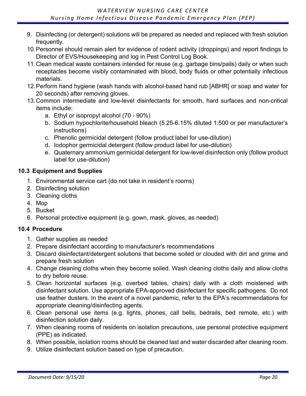- 9. Disinfecting (or detergent) solutions will be prepared as needed and replaced with fresh solution frequently.
- 10.Personnel should remain alert for evidence of rodent activity (droppings) and report findings to Director of EVS/Housekeeping and log in Pest Control Log Book.
- 11.Clean medical waste containers intended for reuse (e.g. garbage bins/pails) daily or when such receptacles become visibly contaminated with blood, body fluids or other potentially infectious materials.
- 12.Perform hand hygiene (wash hands with alcohol-based hand rub [ABHR] or soap and water for 20 seconds) after removing gloves.
- 13.Common intermediate and low-level disinfectants for smooth, hard surfaces and non-critical items include:
	- a. Ethyl or isopropyl alcohol (70 90%)
	- b. Sodium hypochlorite/household bleach (5.25-6.15% diluted 1:500 or per manufacturer's instructions)
	- c. Phenolic germicidal detergent (follow product label for use-dilution)
	- d. Iodophor germicidal detergent (follow product label for use-dilution)
	- e. Quaternary ammonium germicidal detergent for low-level disinfection only (follow product label for use-dilution)

#### **10.3 Equipment and Supplies**

- 1. Environmental service cart (do not take in resident's rooms)
- 2. Disinfecting solution
- 3. Cleaning cloths
- 4. Mop
- 5. Bucket
- 6. Personal protective equipment (e.g. gown, mask, gloves, as needed)

#### **10.4 Procedure**

- 1. Gather supplies as needed
- 2. Prepare disinfectant according to manufacturer's recommendations
- 3. Discard disinfectant/detergent solutions that become soiled or clouded with dirt and grime and prepare fresh solution
- 4. Change cleaning cloths when they become soiled. Wash cleaning cloths daily and allow cloths to dry before reuse.
- 5. Clean horizontal surfaces (e.g. overbed tables, chairs) daily with a cloth moistened with disinfectant solution. Use appropriate EPA-approved disinfectant for specific pathogens. Do not use feather dusters. In the event of a novel pandemic, refer to the EPA's recommendations for appropriate cleaning/disinfecting agents.
- 6. Clean personal use items (e.g. lights, phones, call bells, bedrails, bed remote, etc.) with disinfection solution daily.
- 7. When cleaning rooms of residents on isolation precautions, use personal protective equipment (PPE) as indicated.
- 8. When possible, isolation rooms should be cleaned last and water discarded after cleaning room.
- 9. Utilize disinfectant solution based on type of precaution.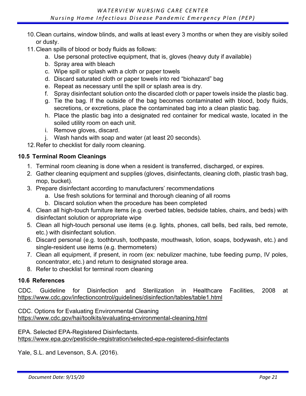- 10.Clean curtains, window blinds, and walls at least every 3 months or when they are visibly soiled or dusty.
- 11.Clean spills of blood or body fluids as follows:
	- a. Use personal protective equipment, that is, gloves (heavy duty if available)
	- b. Spray area with bleach
	- c. Wipe spill or splash with a cloth or paper towels
	- d. Discard saturated cloth or paper towels into red "biohazard" bag
	- e. Repeat as necessary until the spill or splash area is dry.
	- f. Spray disinfectant solution onto the discarded cloth or paper towels inside the plastic bag.
	- g. Tie the bag. If the outside of the bag becomes contaminated with blood, body fluids, secretions, or excretions, place the contaminated bag into a clean plastic bag.
	- h. Place the plastic bag into a designated red container for medical waste, located in the soiled utility room on each unit.
	- i. Remove gloves, discard.
	- j. Wash hands with soap and water (at least 20 seconds).
- 12.Refer to checklist for daily room cleaning.

#### **10.5 Terminal Room Cleanings**

- 1. Terminal room cleaning is done when a resident is transferred, discharged, or expires.
- 2. Gather cleaning equipment and supplies (gloves, disinfectants, cleaning cloth, plastic trash bag, mop, bucket).
- 3. Prepare disinfectant according to manufacturers' recommendations
	- a. Use fresh solutions for terminal and thorough cleaning of all rooms
	- b. Discard solution when the procedure has been completed
- 4. Clean all high-touch furniture items (e.g. overbed tables, bedside tables, chairs, and beds) with disinfectant solution or appropriate wipe
- 5. Clean all high-touch personal use items (e.g. lights, phones, call bells, bed rails, bed remote, etc.) with disinfectant solution.
- 6. Discard personal (e.g. toothbrush, toothpaste, mouthwash, lotion, soaps, bodywash, etc.) and single-resident use items (e.g. thermometers)
- 7. Clean all equipment, if present, in room (ex: nebulizer machine, tube feeding pump, IV poles, concentrator, etc.) and return to designated storage area.
- 8. Refer to checklist for terminal room cleaning

#### **10.6 References**

CDC. Guideline for Disinfection and Sterilization in Healthcare Facilities, 2008 at <https://www.cdc.gov/infectioncontrol/guidelines/disinfection/tables/table1.html>

CDC. Options for Evaluating Environmental Cleaning <https://www.cdc.gov/hai/toolkits/evaluating-environmental-cleaning.html>

EPA. Selected EPA-Registered Disinfectants. <https://www.epa.gov/pesticide-registration/selected-epa-registered-disinfectants>

Yale, S.L. and Levenson, S.A. (2016).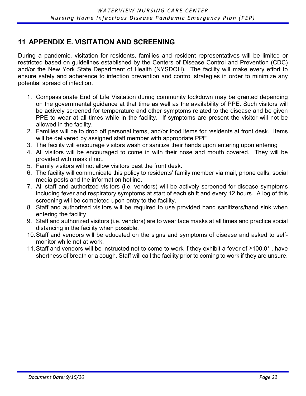### **11 APPENDIX E. VISITATION AND SCREENING**

During a pandemic, visitation for residents, families and resident representatives will be limited or restricted based on guidelines established by the Centers of Disease Control and Prevention (CDC) and/or the New York State Department of Health (NYSDOH). The facility will make every effort to ensure safety and adherence to infection prevention and control strategies in order to minimize any potential spread of infection.

- 1. Compassionate End of Life Visitation during community lockdown may be granted depending on the governmental guidance at that time as well as the availability of PPE. Such visitors will be actively screened for temperature and other symptoms related to the disease and be given PPE to wear at all times while in the facility. If symptoms are present the visitor will not be allowed in the facility.
- 2. Families will be to drop off personal items, and/or food items for residents at front desk. Items will be delivered by assigned staff member with appropriate PPE
- 3. The facility will encourage visitors wash or sanitize their hands upon entering upon entering
- 4. All visitors will be encouraged to come in with their nose and mouth covered. They will be provided with mask if not.
- 5. Family visitors will not allow visitors past the front desk.
- 6. The facility will communicate this policy to residents' family member via mail, phone calls, social media posts and the information hotline.
- 7. All staff and authorized visitors (i.e. vendors) will be actively screened for disease symptoms including fever and respiratory symptoms at start of each shift and every 12 hours. A log of this screening will be completed upon entry to the facility.
- 8. Staff and authorized visitors will be required to use provided hand sanitizers/hand sink when entering the facility
- 9. Staff and authorized visitors (i.e. vendors) are to wear face masks at all times and practice social distancing in the facility when possible.
- 10.Staff and vendors will be educated on the signs and symptoms of disease and asked to selfmonitor while not at work.
- 11.Staff and vendors will be instructed not to come to work if they exhibit a fever of ≥100.0° , have shortness of breath or a cough. Staff will call the facility prior to coming to work if they are unsure.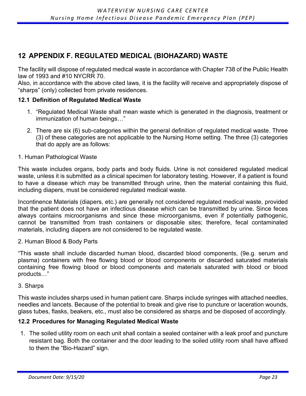### **12 APPENDIX F. REGULATED MEDICAL (BIOHAZARD) WASTE**

The facility will dispose of regulated medical waste in accordance with Chapter 738 of the Public Health law of 1993 and #10 NYCRR 70.

Also, in accordance with the above cited laws, it is the facility will receive and appropriately dispose of "sharps" (only) collected from private residences.

#### **12.1 Definition of Regulated Medical Waste**

- 1. "Regulated Medical Waste shall mean waste which is generated in the diagnosis, treatment or immunization of human beings…"
- 2. There are six (6) sub-categories within the general definition of regulated medical waste. Three (3) of these categories are not applicable to the Nursing Home setting. The three (3) categories that do apply are as follows:

#### 1. Human Pathological Waste

This waste includes organs, body parts and body fluids. Urine is not considered regulated medical waste, unless it is submitted as a clinical specimen for laboratory testing. However, if a patient is found to have a disease which may be transmitted through urine, then the material containing this fluid, including diapers, must be considered regulated medical waste.

Incontinence Materials (diapers, etc.) are generally not considered regulated medical waste, provided that the patient does not have an infectious disease which can be transmitted by urine. Since feces always contains microorganisms and since these microorganisms, even if potentially pathogenic, cannot be transmitted from trash containers or disposable sites; therefore, fecal contaminated materials, including diapers are not considered to be regulated waste.

#### 2. Human Blood & Body Parts

"This waste shall include discarded human blood, discarded blood components, (9e.g. serum and plasma) containers with free flowing blood or blood components or discarded saturated materials containing free flowing blood or blood components and materials saturated with blood or blood products…"

#### 3. Sharps

This waste includes sharps used in human patient care. Sharps include syringes with attached needles, needles and lancets. Because of the potential to break and give rise to puncture or laceration wounds, glass tubes, flasks, beakers, etc., must also be considered as sharps and be disposed of accordingly.

#### **12.2 Procedures for Managing Regulated Medical Waste**

1. The soiled utility room on each unit shall contain a sealed container with a leak proof and puncture resistant bag. Both the container and the door leading to the soiled utility room shall have affixed to them the "Bio-Hazard" sign.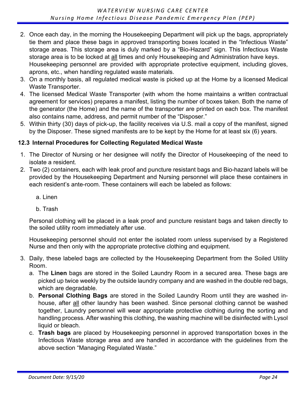- 2. Once each day, in the morning the Housekeeping Department will pick up the bags, appropriately tie them and place these bags in approved transporting boxes located in the "Infectious Waste" storage areas. This storage area is duly marked by a "Bio-Hazard" sign. This Infectious Waste storage area is to be locked at all times and only Housekeeping and Administration have keys. Housekeeping personnel are provided with appropriate protective equipment, including gloves, aprons, etc., when handling regulated waste materials.
- 3. On a monthly basis, all regulated medical waste is picked up at the Home by a licensed Medical Waste Transporter.
- 4. The licensed Medical Waste Transporter (with whom the home maintains a written contractual agreement for services) prepares a manifest, listing the number of boxes taken. Both the name of the generator (the Home) and the name of the transporter are printed on each box. The manifest also contains name, address, and permit number of the "Disposer."
- 5. Within thirty (30) days of pick-up, the facility receives via U.S. mail a copy of the manifest, signed by the Disposer. These signed manifests are to be kept by the Home for at least six (6) years.

#### **12.3 Internal Procedures for Collecting Regulated Medical Waste**

- 1. The Director of Nursing or her designee will notify the Director of Housekeeping of the need to isolate a resident.
- 2. Two (2) containers, each with leak proof and puncture resistant bags and Bio-hazard labels will be provided by the Housekeeping Department and Nursing personnel will place these containers in each resident's ante-room. These containers will each be labeled as follows:
	- a. Linen
	- b. Trash

Personal clothing will be placed in a leak proof and puncture resistant bags and taken directly to the soiled utility room immediately after use.

Housekeeping personnel should not enter the isolated room unless supervised by a Registered Nurse and then only with the appropriate protective clothing and equipment.

- 3. Daily, these labeled bags are collected by the Housekeeping Department from the Soiled Utility Room.
	- a. The **Linen** bags are stored in the Soiled Laundry Room in a secured area. These bags are picked up twice weekly by the outside laundry company and are washed in the double red bags, which are degradable.
	- b. **Personal Clothing Bags** are stored in the Soiled Laundry Room until they are washed inhouse, after all other laundry has been washed. Since personal clothing cannot be washed together, Laundry personnel will wear appropriate protective clothing during the sorting and handling process. After washing this clothing, the washing machine will be disinfected with Lysol liquid or bleach.
	- c. **Trash bags** are placed by Housekeeping personnel in approved transportation boxes in the Infectious Waste storage area and are handled in accordance with the guidelines from the above section "Managing Regulated Waste."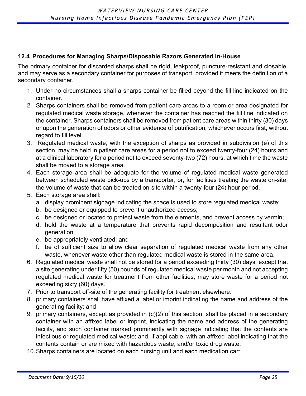#### **12.4 Procedures for Managing Sharps/Disposable Razors Generated In-House**

The primary container for discarded sharps shall be rigid, leakproof, puncture-resistant and closable, and may serve as a secondary container for purposes of transport, provided it meets the definition of a secondary container.

- 1. Under no circumstances shall a sharps container be filled beyond the fill line indicated on the container.
- 2. Sharps containers shall be removed from patient care areas to a room or area designated for regulated medical waste storage, whenever the container has reached the fill line indicated on the container. Sharps containers shall be removed from patient care areas within thirty (30) days or upon the generation of odors or other evidence of putrification, whichever occurs first, without regard to fill level.
- 3. Regulated medical waste, with the exception of sharps as provided in subdivision (e) of this section, may be held in patient care areas for a period not to exceed twenty-four (24) hours and at a clinical laboratory for a period not to exceed seventy-two (72) hours, at which time the waste shall be moved to a storage area.
- 4. Each storage area shall be adequate for the volume of regulated medical waste generated between scheduled waste pick-ups by a transporter, or, for facilities treating the waste on-site, the volume of waste that can be treated on-site within a twenty-four (24) hour period.
- 5. Each storage area shall:
	- a. display prominent signage indicating the space is used to store regulated medical waste;
	- b. be designed or equipped to prevent unauthorized access;
	- c. be designed or located to protect waste from the elements, and prevent access by vermin;
	- d. hold the waste at a temperature that prevents rapid decomposition and resultant odor generation;
	- e. be appropriately ventilated; and
	- f. be of sufficient size to allow clear separation of regulated medical waste from any other waste, whenever waste other than regulated medical waste is stored in the same area.
- 6. Regulated medical waste shall not be stored for a period exceeding thirty (30) days, except that a site generating under fifty (50) pounds of regulated medical waste per month and not accepting regulated medical waste for treatment from other facilities, may store waste for a period not exceeding sixty (60) days.
- 7. Prior to transport off-site of the generating facility for treatment elsewhere:
- 8. primary containers shall have affixed a label or imprint indicating the name and address of the generating facility; and
- 9. primary containers, except as provided in (c)(2) of this section, shall be placed in a secondary container with an affixed label or imprint, indicating the name and address of the generating facility, and such container marked prominently with signage indicating that the contents are infectious or regulated medical waste; and, if applicable, with an affixed label indicating that the contents contain or are mixed with hazardous waste, and/or toxic drug waste.
- 10.Sharps containers are located on each nursing unit and each medication cart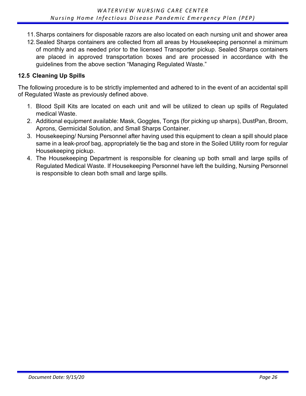- 11.Sharps containers for disposable razors are also located on each nursing unit and shower area
- 12.Sealed Sharps containers are collected from all areas by Housekeeping personnel a minimum of monthly and as needed prior to the licensed Transporter pickup. Sealed Sharps containers are placed in approved transportation boxes and are processed in accordance with the guidelines from the above section "Managing Regulated Waste."

#### **12.5 Cleaning Up Spills**

The following procedure is to be strictly implemented and adhered to in the event of an accidental spill of Regulated Waste as previously defined above.

- 1. Blood Spill Kits are located on each unit and will be utilized to clean up spills of Regulated medical Waste.
- 2. Additional equipment available: Mask, Goggles, Tongs (for picking up sharps), DustPan, Broom, Aprons, Germicidal Solution, and Small Sharps Container.
- 3. Housekeeping/ Nursing Personnel after having used this equipment to clean a spill should place same in a leak-proof bag, appropriately tie the bag and store in the Soiled Utility room for regular Housekeeping pickup.
- 4. The Housekeeping Department is responsible for cleaning up both small and large spills of Regulated Medical Waste. If Housekeeping Personnel have left the building, Nursing Personnel is responsible to clean both small and large spills.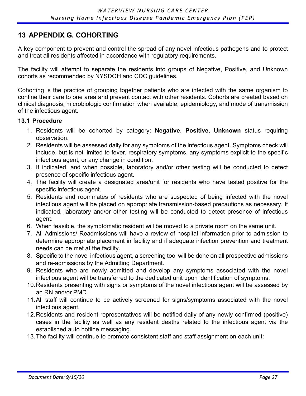### **13 APPENDIX G. COHORTING**

A key component to prevent and control the spread of any novel infectious pathogens and to protect and treat all residents affected in accordance with regulatory requirements.

The facility will attempt to separate the residents into groups of Negative, Positive, and Unknown cohorts as recommended by NYSDOH and CDC guidelines.

Cohorting is the practice of grouping together patients who are infected with the same organism to confine their care to one area and prevent contact with other residents. Cohorts are created based on clinical diagnosis, microbiologic confirmation when available, epidemiology, and mode of transmission of the infectious agent.

#### **13.1 Procedure**

- 1. Residents will be cohorted by category: **Negative**, **Positive, Unknown** status requiring observation.
- 2. Residents will be assessed daily for any symptoms of the infectious agent. Symptoms check will include, but is not limited to fever, respiratory symptoms, any symptoms explicit to the specific infectious agent, or any change in condition.
- 3. If indicated, and when possible, laboratory and/or other testing will be conducted to detect presence of specific infectious agent.
- 4. The facility will create a designated area/unit for residents who have tested positive for the specific infectious agent.
- 5. Residents and roommates of residents who are suspected of being infected with the novel infectious agent will be placed on appropriate transmission-based precautions as necessary. If indicated, laboratory and/or other testing will be conducted to detect presence of infectious agent.
- 6. When feasible, the symptomatic resident will be moved to a private room on the same unit.
- 7. All Admissions/ Readmissions will have a review of hospital information prior to admission to determine appropriate placement in facility and if adequate infection prevention and treatment needs can be met at the facility.
- 8. Specific to the novel infectious agent, a screening tool will be done on all prospective admissions and re-admissions by the Admitting Department.
- 9. Residents who are newly admitted and develop any symptoms associated with the novel infectious agent will be transferred to the dedicated unit upon identification of symptoms.
- 10.Residents presenting with signs or symptoms of the novel infectious agent will be assessed by an RN and/or PMD.
- 11.All staff will continue to be actively screened for signs/symptoms associated with the novel infectious agent.
- 12.Residents and resident representatives will be notified daily of any newly confirmed (positive) cases in the facility as well as any resident deaths related to the infectious agent via the established auto hotline messaging.
- 13.The facility will continue to promote consistent staff and staff assignment on each unit: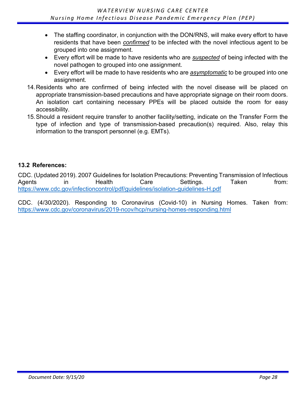- The staffing coordinator, in conjunction with the DON/RNS, will make every effort to have residents that have been *confirmed* to be infected with the novel infectious agent to be grouped into one assignment.
- Every effort will be made to have residents who are *suspected* of being infected with the novel pathogen to grouped into one assignment.
- Every effort will be made to have residents who are *asymptomatic* to be grouped into one assignment.
- 14.Residents who are confirmed of being infected with the novel disease will be placed on appropriate transmission-based precautions and have appropriate signage on their room doors. An isolation cart containing necessary PPEs will be placed outside the room for easy accessibility.
- 15.Should a resident require transfer to another facility/setting, indicate on the Transfer Form the type of infection and type of transmission-based precaution(s) required. Also, relay this information to the transport personnel (e.g. EMTs).

#### **13.2 References:**

CDC. (Updated 2019). 2007 Guidelines for Isolation Precautions: Preventing Transmission of Infectious Agents in Health Care Settings. Taken from: <https://www.cdc.gov/infectioncontrol/pdf/guidelines/isolation-guidelines-H.pdf>

CDC. (4/30/2020). Responding to Coronavirus (Covid-10) in Nursing Homes. Taken from: <https://www.cdc.gov/coronavirus/2019-ncov/hcp/nursing-homes-responding.html>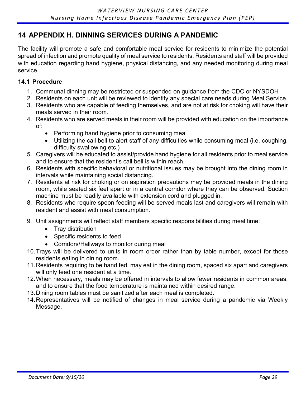### **14 APPENDIX H. DINNING SERVICES DURING A PANDEMIC**

The facility will promote a safe and comfortable meal service for residents to minimize the potential spread of infection and promote quality of meal service to residents. Residents and staff will be provided with education regarding hand hygiene, physical distancing, and any needed monitoring during meal service.

#### **14.1 Procedure**

- 1. Communal dinning may be restricted or suspended on guidance from the CDC or NYSDOH
- 2. Residents on each unit will be reviewed to identify any special care needs during Meal Service.
- 3. Residents who are capable of feeding themselves, and are not at risk for choking will have their meals served in their room.
- 4. Residents who are served meals in their room will be provided with education on the importance of:
	- Performing hand hygiene prior to consuming meal
	- Utilizing the call bell to alert staff of any difficulties while consuming meal (i.e. coughing, difficulty swallowing etc.)
- 5. Caregivers will be educated to assist/provide hand hygiene for all residents prior to meal service and to ensure that the resident's call bell is within reach.
- 6. Residents with specific behavioral or nutritional issues may be brought into the dining room in intervals while maintaining social distancing.
- 7. Residents at risk for choking or on aspiration precautions may be provided meals in the dining room, while seated six feet apart or in a central corridor where they can be observed. Suction machine must be readily available with extension cord and plugged in.
- 8. Residents who require spoon feeding will be served meals last and caregivers will remain with resident and assist with meal consumption.
- 9. Unit assignments will reflect staff members specific responsibilities during meal time:
	- Tray distribution
	- Specific residents to feed
	- Corridors/Hallways to monitor during meal
- 10.Trays will be delivered to units in room order rather than by table number, except for those residents eating in dining room.
- 11.Residents requiring to be hand fed, may eat in the dining room, spaced six apart and caregivers will only feed one resident at a time.
- 12.When necessary, meals may be offered in intervals to allow fewer residents in common areas, and to ensure that the food temperature is maintained within desired range.
- 13.Dining room tables must be sanitized after each meal is completed.
- 14.Representatives will be notified of changes in meal service during a pandemic via Weekly Message.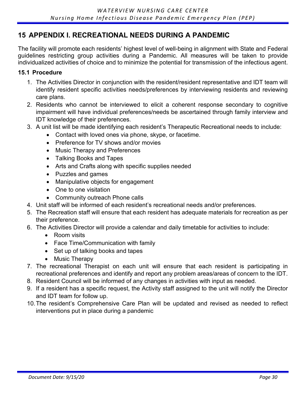### **15 APPENDIX I. RECREATIONAL NEEDS DURING A PANDEMIC**

The facility will promote each residents' highest level of well-being in alignment with State and Federal guidelines restricting group activities during a Pandemic. All measures will be taken to provide individualized activities of choice and to minimize the potential for transmission of the infectious agent.

#### **15.1 Procedure**

- 1. The Activities Director in conjunction with the resident/resident representative and IDT team will identify resident specific activities needs/preferences by interviewing residents and reviewing care plans.
- 2. Residents who cannot be interviewed to elicit a coherent response secondary to cognitive impairment will have individual preferences/needs be ascertained through family interview and IDT knowledge of their preferences.
- 3. A unit list will be made identifying each resident's Therapeutic Recreational needs to include:
	- Contact with loved ones via phone, skype, or facetime.
	- Preference for TV shows and/or movies
	- Music Therapy and Preferences
	- Talking Books and Tapes
	- Arts and Crafts along with specific supplies needed
	- Puzzles and games
	- Manipulative objects for engagement
	- One to one visitation
	- Community outreach Phone calls
- 4. Unit staff will be informed of each resident's recreational needs and/or preferences.
- 5. The Recreation staff will ensure that each resident has adequate materials for recreation as per their preference.
- 6. The Activities Director will provide a calendar and daily timetable for activities to include:
	- Room visits
	- Face Time/Communication with family
	- Set up of talking books and tapes
	- Music Therapy
- 7. The recreational Therapist on each unit will ensure that each resident is participating in recreational preferences and identify and report any problem areas/areas of concern to the IDT.
- 8. Resident Council will be informed of any changes in activities with input as needed.
- 9. If a resident has a specific request, the Activity staff assigned to the unit will notify the Director and IDT team for follow up.
- 10.The resident's Comprehensive Care Plan will be updated and revised as needed to reflect interventions put in place during a pandemic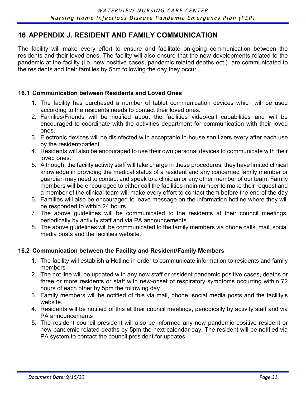### **16 APPENDIX J. RESIDENT AND FAMILY COMMUNICATION**

The facility will make every effort to ensure and facilitate on-going communication between the residents and their loved-ones. The facility will also ensure that the new developments related to the pandemic at the facility (i.e. new positive cases, pandemic related deaths ect.) are communicated to the residents and their families by 5pm following the day they occur.

#### **16.1 Communication between Residents and Loved Ones**

- 1. The facility has purchased a number of tablet communication devices which will be used according to the residents needs to contact their loved ones.
- 2. Families/Friends will be notified about the facilities video-call capabilities and will be encouraged to coordinate with the activities department for communication with their loved ones.
- 3. Electronic devices will be disinfected with acceptable in-house sanitizers every after each use by the resident/patient.
- 4. Residents will also be encouraged to use their own personal devices to communicate with their loved ones.
- 5. Although, the facility activity staff will take charge in these procedures, they have limited clinical knowledge in providing the medical status of a resident and any concerned family member or guardian may need to contact and speak to a clinician or any other member of our team. Family members will be encouraged to either call the facilities main number to make their request and a member of the clinical team will make every effort to contact them before the end of the day
- 6. Families will also be encouraged to leave message on the information hotline where they will be responded to within 24 hours.
- 7. The above guidelines will be communicated to the residents at their council meetings, periodically by activity staff and via PA announcements
- 8. The above guidelines will be communicated to the family members via phone calls, mail, social media posts and the facilities website.

#### **16.2 Communication between the Facility and Resident/Family Members**

- 1. The facility will establish a Hotline in order to communicate information to residents and family members
- 2. The hot line will be updated with any new staff or resident pandemic positive cases, deaths or three or more residents or staff with new-onset of respiratory symptoms occurring within 72 hours of each other by 5pm the following day
- 3. Family members will be notified of this via mail, phone, social media posts and the facility's website.
- 4. Residents will be notified of this at their council meetings, periodically by activity staff and via PA announcements
- 5. The resident council president will also be informed any new pandemic positive resident or new pandemic related deaths by 5pm the next calendar day. The resident will be notified via PA system to contact the council president for updates.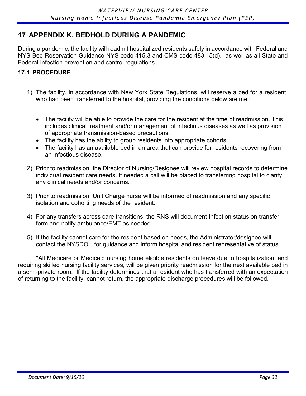### **17 APPENDIX K. BEDHOLD DURING A PANDEMIC**

During a pandemic, the facility will readmit hospitalized residents safely in accordance with Federal and NYS Bed Reservation Guidance NYS code 415.3 and CMS code 483.15(d). as well as all State and Federal Infection prevention and control regulations.

#### **17.1 PROCEDURE**

- 1) The facility, in accordance with New York State Regulations, will reserve a bed for a resident who had been transferred to the hospital, providing the conditions below are met:
	- The facility will be able to provide the care for the resident at the time of readmission. This includes clinical treatment and/or management of infectious diseases as well as provision of appropriate transmission-based precautions.
	- The facility has the ability to group residents into appropriate cohorts.
	- The facility has an available bed in an area that can provide for residents recovering from an infectious disease.
- 2) Prior to readmission, the Director of Nursing/Designee will review hospital records to determine individual resident care needs. If needed a call will be placed to transferring hospital to clarify any clinical needs and/or concerns.
- 3) Prior to readmission, Unit Charge nurse will be informed of readmission and any specific isolation and cohorting needs of the resident.
- 4) For any transfers across care transitions, the RNS will document Infection status on transfer form and notify ambulance/EMT as needed.
- 5) If the facility cannot care for the resident based on needs, the Administrator/designee will contact the NYSDOH for guidance and inform hospital and resident representative of status.

\*All Medicare or Medicaid nursing home eligible residents on leave due to hospitalization, and requiring skilled nursing facility services, will be given priority readmission for the next available bed in a semi-private room. If the facility determines that a resident who has transferred with an expectation of returning to the facility, cannot return, the appropriate discharge procedures will be followed.